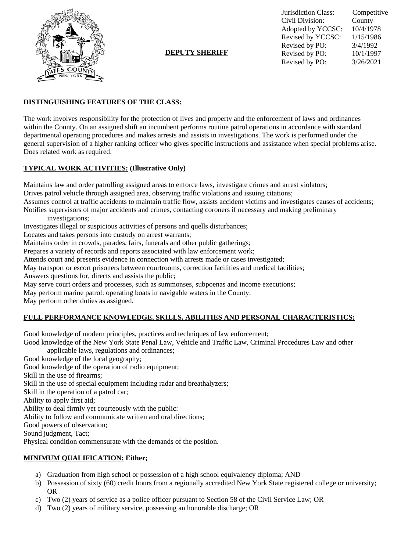

**DEPUTY SHERIFF**

Jurisdiction Class: Competitive Civil Division: Adopted by YCCSC: 10/4/1978 Revised by YCCSC: 1/15/1986 Revised by PO:  $\frac{3}{4/1992}$ <br>Revised by PO:  $\frac{10}{1/1997}$ Revised by PO: Revised by PO: 3/26/2021

## **DISTINGUISHING FEATURES OF THE CLASS:**

The work involves responsibility for the protection of lives and property and the enforcement of laws and ordinances within the County. On an assigned shift an incumbent performs routine patrol operations in accordance with standard departmental operating procedures and makes arrests and assists in investigations. The work is performed under the general supervision of a higher ranking officer who gives specific instructions and assistance when special problems arise. Does related work as required.

## **TYPICAL WORK ACTIVITIES: (Illustrative Only)**

Maintains law and order patrolling assigned areas to enforce laws, investigate crimes and arrest violators; Drives patrol vehicle through assigned area, observing traffic violations and issuing citations; Assumes control at traffic accidents to maintain traffic flow, assists accident victims and investigates causes of accidents; Notifies supervisors of major accidents and crimes, contacting coroners if necessary and making preliminary investigations; Investigates illegal or suspicious activities of persons and quells disturbances; Locates and takes persons into custody on arrest warrants; Maintains order in crowds, parades, fairs, funerals and other public gatherings;

Prepares a variety of records and reports associated with law enforcement work;

Attends court and presents evidence in connection with arrests made or cases investigated;

May transport or escort prisoners between courtrooms, correction facilities and medical facilities;

Answers questions for, directs and assists the public;

May serve court orders and processes, such as summonses, subpoenas and income executions;

May perform marine patrol: operating boats in navigable waters in the County;

May perform other duties as assigned.

# **FULL PERFORMANCE KNOWLEDGE, SKILLS, ABILITIES AND PERSONAL CHARACTERISTICS:**

Good knowledge of modern principles, practices and techniques of law enforcement;

Good knowledge of the New York State Penal Law, Vehicle and Traffic Law, Criminal Procedures Law and other applicable laws, regulations and ordinances;

Good knowledge of the local geography;

Good knowledge of the operation of radio equipment;

Skill in the use of firearms;

Skill in the use of special equipment including radar and breathalyzers;

Skill in the operation of a patrol car;

Ability to apply first aid;

Ability to deal firmly yet courteously with the public:

Ability to follow and communicate written and oral directions;

Good powers of observation;

Sound judgment, Tact;

Physical condition commensurate with the demands of the position.

#### **MINIMUM QUALIFICATION: Either;**

- a) Graduation from high school or possession of a high school equivalency diploma; AND
- b) Possession of sixty (60) credit hours from a regionally accredited New York State registered college or university; OR
- c) Two (2) years of service as a police officer pursuant to Section 58 of the Civil Service Law; OR
- d) Two (2) years of military service, possessing an honorable discharge; OR